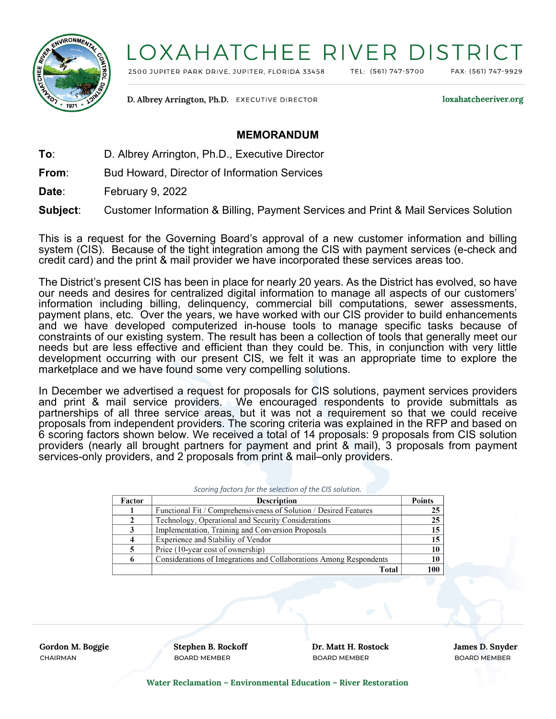

## LOXAHATCHEE RIVER DISTRI

2500 JUPITER PARK DRIVE, JUPITER, FLORIDA 33458

TEL: (561) 747-5700

FAX: (561) 747-9929

D. Albrey Arrington, Ph.D. EXECUTIVE DIRECTOR

loxahatcheeriver.org

## **MEMORANDUM**

**To**: D. Albrey Arrington, Ph.D., Executive Director

**From**: Bud Howard, Director of Information Services

**Date**: February 9, 2022

**Subject**: Customer Information & Billing, Payment Services and Print & Mail Services Solution

This is a request for the Governing Board's approval of a new customer information and billing system (CIS). Because of the tight integration among the CIS with payment services (e-check and credit card) and the print & mail provider we have incorporated these services areas too.

The District's present CIS has been in place for nearly 20 years. As the District has evolved, so have our needs and desires for centralized digital information to manage all aspects of our customers' information including billing, delinquency, commercial bill computations, sewer assessments, payment plans, etc. Over the years, we have worked with our CIS provider to build enhancements and we have developed computerized in-house tools to manage specific tasks because of constraints of our existing system. The result has been a collection of tools that generally meet our needs but are less effective and efficient than they could be. This, in conjunction with very little development occurring with our present CIS, we felt it was an appropriate time to explore the marketplace and we have found some very compelling solutions.

In December we advertised a request for proposals for CIS solutions, payment services providers and print & mail service providers. We encouraged respondents to provide submittals as partnerships of all three service areas, but it was not a requirement so that we could receive proposals from independent providers. The scoring criteria was explained in the RFP and based on 6 scoring factors shown below. We received a total of 14 proposals: 9 proposals from CIS solution providers (nearly all brought partners for payment and print & mail), 3 proposals from payment services-only providers, and 2 proposals from print & mail–only providers.

|  |  | Scoring factors for the selection of the CIS solution. |
|--|--|--------------------------------------------------------|

| Factor | <b>Description</b>                                                  | <b>Points</b>   |
|--------|---------------------------------------------------------------------|-----------------|
|        | Functional Fit / Comprehensiveness of Solution / Desired Features   | 25 I            |
|        | Technology, Operational and Security Considerations                 | 25 <sub>1</sub> |
|        | Implementation, Training and Conversion Proposals                   | 15 <sup>1</sup> |
| 4      | Experience and Stability of Vendor                                  | 15 <sup>1</sup> |
|        | Price (10-year cost of ownership)                                   | 10 <sup>1</sup> |
| 6      | Considerations of Integrations and Collaborations Among Respondents | 10 <sup>1</sup> |
|        | <b>Total</b>                                                        | 100             |

**Cordon M. Boggie Stephen B. Rockoff Stephen B. Rockoff Stephen B. Rockoff Stephen B. Snyder** B. Snyder CHAIRMAN BOARD MEMBER BOARD MEMBER BOARD MEMBER

**Water Reclamation – Environmental Education – River Restoration**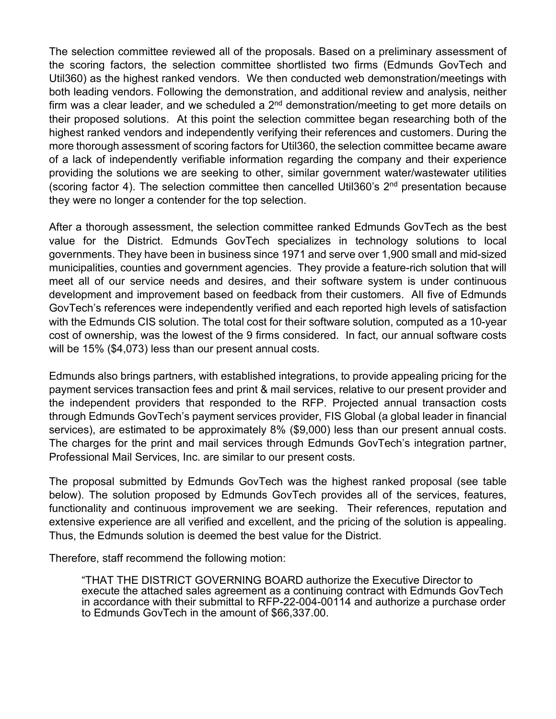The selection committee reviewed all of the proposals. Based on a preliminary assessment of the scoring factors, the selection committee shortlisted two firms (Edmunds GovTech and Util360) as the highest ranked vendors. We then conducted web demonstration/meetings with both leading vendors. Following the demonstration, and additional review and analysis, neither firm was a clear leader, and we scheduled a  $2<sup>nd</sup>$  demonstration/meeting to get more details on their proposed solutions. At this point the selection committee began researching both of the highest ranked vendors and independently verifying their references and customers. During the more thorough assessment of scoring factors for Util360, the selection committee became aware of a lack of independently verifiable information regarding the company and their experience providing the solutions we are seeking to other, similar government water/wastewater utilities (scoring factor 4). The selection committee then cancelled Util360's  $2<sup>nd</sup>$  presentation because they were no longer a contender for the top selection.

After a thorough assessment, the selection committee ranked Edmunds GovTech as the best value for the District. Edmunds GovTech specializes in technology solutions to local governments. They have been in business since 1971 and serve over 1,900 small and mid-sized municipalities, counties and government agencies. They provide a feature-rich solution that will meet all of our service needs and desires, and their software system is under continuous development and improvement based on feedback from their customers. All five of Edmunds GovTech's references were independently verified and each reported high levels of satisfaction with the Edmunds CIS solution. The total cost for their software solution, computed as a 10-year cost of ownership, was the lowest of the 9 firms considered. In fact, our annual software costs will be 15% (\$4,073) less than our present annual costs.

Edmunds also brings partners, with established integrations, to provide appealing pricing for the payment services transaction fees and print & mail services, relative to our present provider and the independent providers that responded to the RFP. Projected annual transaction costs through Edmunds GovTech's payment services provider, FIS Global (a global leader in financial services), are estimated to be approximately 8% (\$9,000) less than our present annual costs. The charges for the print and mail services through Edmunds GovTech's integration partner, Professional Mail Services, Inc. are similar to our present costs.

The proposal submitted by Edmunds GovTech was the highest ranked proposal (see table below). The solution proposed by Edmunds GovTech provides all of the services, features, functionality and continuous improvement we are seeking. Their references, reputation and extensive experience are all verified and excellent, and the pricing of the solution is appealing. Thus, the Edmunds solution is deemed the best value for the District.

Therefore, staff recommend the following motion:

"THAT THE DISTRICT GOVERNING BOARD authorize the Executive Director to execute the attached sales agreement as a continuing contract with Edmunds GovTech in accordance with their submittal to RFP-22-004-00114 and authorize a purchase order to Edmunds GovTech in the amount of \$66,337.00.